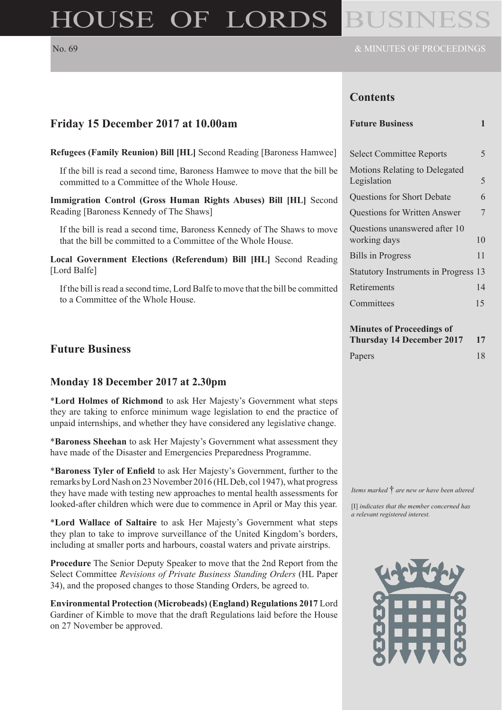# HOUSE OF LORDS BUSINE

# **Contents**

# **Friday 15 December 2017 at 10.00am**

**Refugees (Family Reunion) Bill [HL]** Second Reading [Baroness Hamwee] If the bill is read a second time, Baroness Hamwee to move that the bill be

committed to a Committee of the Whole House. **Immigration Control (Gross Human Rights Abuses) Bill [HL]** Second

Reading [Baroness Kennedy of The Shaws]

If the bill is read a second time, Baroness Kennedy of The Shaws to move that the bill be committed to a Committee of the Whole House.

**Local Government Elections (Referendum) Bill [HL]** Second Reading [Lord Balfe]

If the bill is read a second time, Lord Balfe to move that the bill be committed to a Committee of the Whole House.

# **Future Business**

#### **Monday 18 December 2017 at 2.30pm**

\***Lord Holmes of Richmond** to ask Her Majesty's Government what steps they are taking to enforce minimum wage legislation to end the practice of unpaid internships, and whether they have considered any legislative change.

\***Baroness Sheehan** to ask Her Majesty's Government what assessment they have made of the Disaster and Emergencies Preparedness Programme.

\***Baroness Tyler of Enfield** to ask Her Majesty's Government, further to the remarks by Lord Nash on 23 November 2016 (HL Deb, col 1947), what progress they have made with testing new approaches to mental health assessments for looked-after children which were due to commence in April or May this year.

\***Lord Wallace of Saltaire** to ask Her Majesty's Government what steps they plan to take to improve surveillance of the United Kingdom's borders, including at smaller ports and harbours, coastal waters and private airstrips.

**Procedure** The Senior Deputy Speaker to move that the 2nd Report from the Select Committee *Revisions of Private Business Standing Orders* (HL Paper 34), and the proposed changes to those Standing Orders, be agreed to.

**Environmental Protection (Microbeads) (England) Regulations 2017** Lord Gardiner of Kimble to move that the draft Regulations laid before the House on 27 November be approved.

| <b>Future Business</b> |  |  |
|------------------------|--|--|

| <b>Select Committee Reports</b>               | 5  |
|-----------------------------------------------|----|
| Motions Relating to Delegated<br>Legislation  | 5  |
| <b>Questions for Short Debate</b>             | 6  |
| <b>Questions for Written Answer</b>           | 7  |
| Questions unanswered after 10<br>working days | 10 |
| <b>Bills in Progress</b>                      | 11 |
| Statutory Instruments in Progress 13          |    |
| Retirements                                   | 14 |
| Committees                                    | 15 |
|                                               |    |

#### **Minutes of Proceedings of**

| <b>Thursday 14 December 2017</b> | - 17 |
|----------------------------------|------|
| Papers                           | 18   |

*Items marked* † *are new or have been altered*

[I] *indicates that the member concerned has a relevant registered interest.*

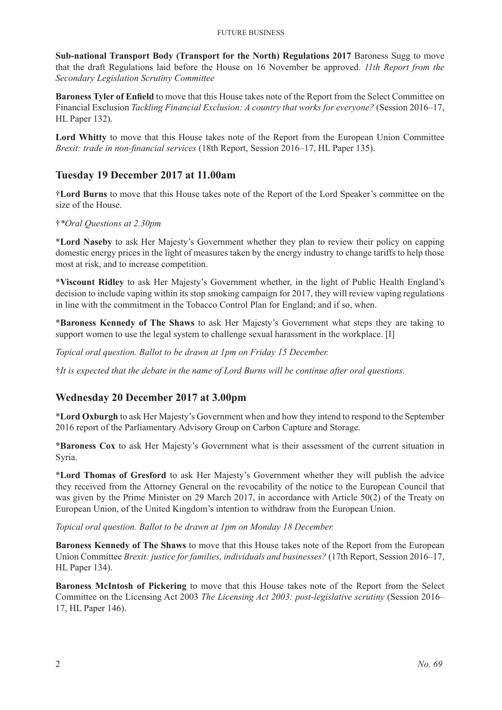**Sub-national Transport Body (Transport for the North) Regulations 2017** Baroness Sugg to move that the draft Regulations laid before the House on 16 November be approved. *11th Report from the Secondary Legislation Scrutiny Committee*

**Baroness Tyler of Enfield** to move that this House takes note of the Report from the Select Committee on Financial Exclusion *Tackling Financial Exclusion: A country that works for everyone?* (Session 2016–17, HL Paper 132).

**Lord Whitty** to move that this House takes note of the Report from the European Union Committee *Brexit: trade in non-financial services* (18th Report, Session 2016–17, HL Paper 135).

## **Tuesday 19 December 2017 at 11.00am**

†**Lord Burns** to move that this House takes note of the Report of the Lord Speaker's committee on the size of the House.

#### †*\*Oral Questions at 2.30pm*

\***Lord Naseby** to ask Her Majesty's Government whether they plan to review their policy on capping domestic energy prices in the light of measures taken by the energy industry to change tariffs to help those most at risk, and to increase competition.

\***Viscount Ridley** to ask Her Majesty's Government whether, in the light of Public Health England's decision to include vaping within its stop smoking campaign for 2017, they will review vaping regulations in line with the commitment in the Tobacco Control Plan for England; and if so, when.

\***Baroness Kennedy of The Shaws** to ask Her Majesty's Government what steps they are taking to support women to use the legal system to challenge sexual harassment in the workplace. [I]

*Topical oral question. Ballot to be drawn at 1pm on Friday 15 December.*

†*It is expected that the debate in the name of Lord Burns will be continue after oral questions.*

#### **Wednesday 20 December 2017 at 3.00pm**

\***Lord Oxburgh** to ask Her Majesty's Government when and how they intend to respond to the September 2016 report of the Parliamentary Advisory Group on Carbon Capture and Storage.

\***Baroness Cox** to ask Her Majesty's Government what is their assessment of the current situation in Syria.

\***Lord Thomas of Gresford** to ask Her Majesty's Government whether they will publish the advice they received from the Attorney General on the revocability of the notice to the European Council that was given by the Prime Minister on 29 March 2017, in accordance with Article 50(2) of the Treaty on European Union, of the United Kingdom's intention to withdraw from the European Union.

*Topical oral question. Ballot to be drawn at 1pm on Monday 18 December.*

**Baroness Kennedy of The Shaws** to move that this House takes note of the Report from the European Union Committee *Brexit: justice for families, individuals and businesses?* (17th Report, Session 2016–17, HL Paper 134).

**Baroness McIntosh of Pickering** to move that this House takes note of the Report from the Select Committee on the Licensing Act 2003 *The Licensing Act 2003: post-legislative scrutiny* (Session 2016– 17, HL Paper 146).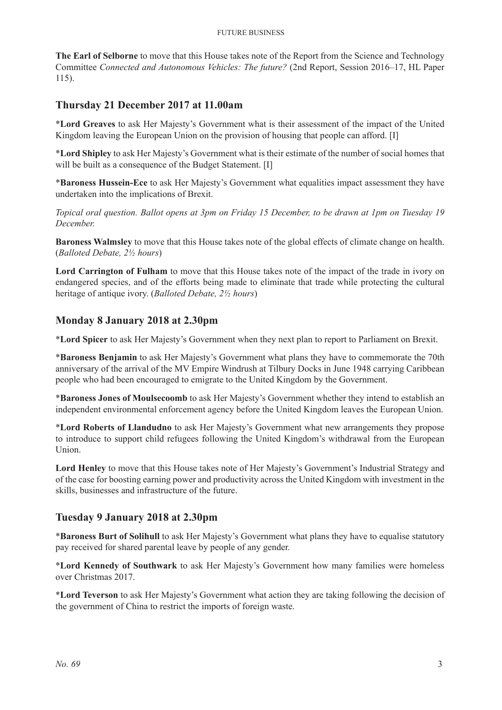#### Future Business

**The Earl of Selborne** to move that this House takes note of the Report from the Science and Technology Committee *Connected and Autonomous Vehicles: The future?* (2nd Report, Session 2016–17, HL Paper 115).

# **Thursday 21 December 2017 at 11.00am**

\***Lord Greaves** to ask Her Majesty's Government what is their assessment of the impact of the United Kingdom leaving the European Union on the provision of housing that people can afford. [I]

\***Lord Shipley** to ask Her Majesty's Government what is their estimate of the number of social homes that will be built as a consequence of the Budget Statement. [I]

\***Baroness Hussein-Ece** to ask Her Majesty's Government what equalities impact assessment they have undertaken into the implications of Brexit.

*Topical oral question. Ballot opens at 3pm on Friday 15 December, to be drawn at 1pm on Tuesday 19 December.*

**Baroness Walmsley** to move that this House takes note of the global effects of climate change on health. (*Balloted Debate, 2½ hours*)

**Lord Carrington of Fulham** to move that this House takes note of the impact of the trade in ivory on endangered species, and of the efforts being made to eliminate that trade while protecting the cultural heritage of antique ivory. (*Balloted Debate, 2½ hours*)

## **Monday 8 January 2018 at 2.30pm**

\***Lord Spicer** to ask Her Majesty's Government when they next plan to report to Parliament on Brexit.

\***Baroness Benjamin** to ask Her Majesty's Government what plans they have to commemorate the 70th anniversary of the arrival of the MV Empire Windrush at Tilbury Docks in June 1948 carrying Caribbean people who had been encouraged to emigrate to the United Kingdom by the Government.

\***Baroness Jones of Moulsecoomb** to ask Her Majesty's Government whether they intend to establish an independent environmental enforcement agency before the United Kingdom leaves the European Union.

\***Lord Roberts of Llandudno** to ask Her Majesty's Government what new arrangements they propose to introduce to support child refugees following the United Kingdom's withdrawal from the European Union.

**Lord Henley** to move that this House takes note of Her Majesty's Government's Industrial Strategy and of the case for boosting earning power and productivity across the United Kingdom with investment in the skills, businesses and infrastructure of the future.

#### **Tuesday 9 January 2018 at 2.30pm**

\***Baroness Burt of Solihull** to ask Her Majesty's Government what plans they have to equalise statutory pay received for shared parental leave by people of any gender.

\***Lord Kennedy of Southwark** to ask Her Majesty's Government how many families were homeless over Christmas 2017.

\***Lord Teverson** to ask Her Majesty's Government what action they are taking following the decision of the government of China to restrict the imports of foreign waste.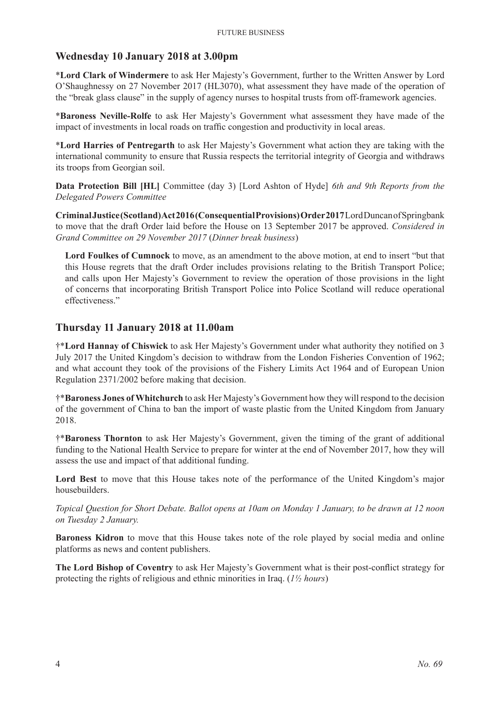## **Wednesday 10 January 2018 at 3.00pm**

\***Lord Clark of Windermere** to ask Her Majesty's Government, further to the Written Answer by Lord O'Shaughnessy on 27 November 2017 (HL3070), what assessment they have made of the operation of the "break glass clause" in the supply of agency nurses to hospital trusts from off-framework agencies.

\***Baroness Neville-Rolfe** to ask Her Majesty's Government what assessment they have made of the impact of investments in local roads on traffic congestion and productivity in local areas.

\***Lord Harries of Pentregarth** to ask Her Majesty's Government what action they are taking with the international community to ensure that Russia respects the territorial integrity of Georgia and withdraws its troops from Georgian soil.

**Data Protection Bill [HL]** Committee (day 3) [Lord Ashton of Hyde] *6th and 9th Reports from the Delegated Powers Committee*

**Criminal Justice (Scotland) Act 2016 (Consequential Provisions) Order 2017** Lord Duncan of Springbank to move that the draft Order laid before the House on 13 September 2017 be approved. *Considered in Grand Committee on 29 November 2017* (*Dinner break business*)

**Lord Foulkes of Cumnock** to move, as an amendment to the above motion, at end to insert "but that this House regrets that the draft Order includes provisions relating to the British Transport Police; and calls upon Her Majesty's Government to review the operation of those provisions in the light of concerns that incorporating British Transport Police into Police Scotland will reduce operational effectiveness."

## **Thursday 11 January 2018 at 11.00am**

†\***Lord Hannay of Chiswick** to ask Her Majesty's Government under what authority they notified on 3 July 2017 the United Kingdom's decision to withdraw from the London Fisheries Convention of 1962; and what account they took of the provisions of the Fishery Limits Act 1964 and of European Union Regulation 2371/2002 before making that decision.

†\***Baroness Jones of Whitchurch** to ask Her Majesty's Government how they will respond to the decision of the government of China to ban the import of waste plastic from the United Kingdom from January 2018.

†\***Baroness Thornton** to ask Her Majesty's Government, given the timing of the grant of additional funding to the National Health Service to prepare for winter at the end of November 2017, how they will assess the use and impact of that additional funding.

Lord Best to move that this House takes note of the performance of the United Kingdom's major housebuilders.

*Topical Question for Short Debate. Ballot opens at 10am on Monday 1 January, to be drawn at 12 noon on Tuesday 2 January.*

**Baroness Kidron** to move that this House takes note of the role played by social media and online platforms as news and content publishers.

**The Lord Bishop of Coventry** to ask Her Majesty's Government what is their post-conflict strategy for protecting the rights of religious and ethnic minorities in Iraq. (*1½ hours*)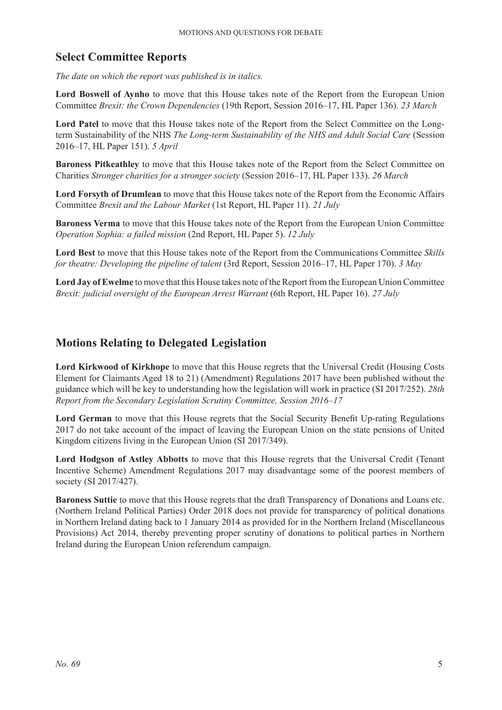# **Select Committee Reports**

*The date on which the report was published is in italics.*

**Lord Boswell of Aynho** to move that this House takes note of the Report from the European Union Committee *Brexit: the Crown Dependencies* (19th Report, Session 2016–17, HL Paper 136). *23 March*

**Lord Patel** to move that this House takes note of the Report from the Select Committee on the Longterm Sustainability of the NHS *The Long-term Sustainability of the NHS and Adult Social Care* (Session 2016–17, HL Paper 151). *5 April*

**Baroness Pitkeathley** to move that this House takes note of the Report from the Select Committee on Charities *Stronger charities for a stronger society* (Session 2016–17, HL Paper 133). *26 March*

**Lord Forsyth of Drumlean** to move that this House takes note of the Report from the Economic Affairs Committee *Brexit and the Labour Market* (1st Report, HL Paper 11). *21 July*

**Baroness Verma** to move that this House takes note of the Report from the European Union Committee *Operation Sophia: a failed mission* (2nd Report, HL Paper 5). *12 July*

**Lord Best** to move that this House takes note of the Report from the Communications Committee *Skills for theatre: Developing the pipeline of talent* (3rd Report, Session 2016–17, HL Paper 170). *3 May*

**Lord Jay of Ewelme** to move that this House takes note of the Report from the European Union Committee *Brexit: judicial oversight of the European Arrest Warrant* (6th Report, HL Paper 16). *27 July*

# **Motions Relating to Delegated Legislation**

**Lord Kirkwood of Kirkhope** to move that this House regrets that the Universal Credit (Housing Costs Element for Claimants Aged 18 to 21) (Amendment) Regulations 2017 have been published without the guidance which will be key to understanding how the legislation will work in practice (SI 2017/252). *28th Report from the Secondary Legislation Scrutiny Committee, Session 2016–17*

Lord German to move that this House regrets that the Social Security Benefit Up-rating Regulations 2017 do not take account of the impact of leaving the European Union on the state pensions of United Kingdom citizens living in the European Union (SI 2017/349).

Lord Hodgson of Astley Abbotts to move that this House regrets that the Universal Credit (Tenant Incentive Scheme) Amendment Regulations 2017 may disadvantage some of the poorest members of society (SI 2017/427).

**Baroness Suttie** to move that this House regrets that the draft Transparency of Donations and Loans etc. (Northern Ireland Political Parties) Order 2018 does not provide for transparency of political donations in Northern Ireland dating back to 1 January 2014 as provided for in the Northern Ireland (Miscellaneous Provisions) Act 2014, thereby preventing proper scrutiny of donations to political parties in Northern Ireland during the European Union referendum campaign.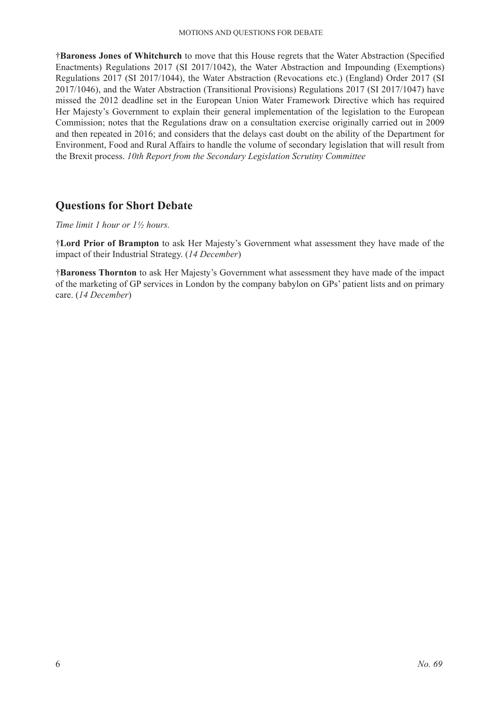†**Baroness Jones of Whitchurch** to move that this House regrets that the Water Abstraction (Specified Enactments) Regulations 2017 (SI 2017/1042), the Water Abstraction and Impounding (Exemptions) Regulations 2017 (SI 2017/1044), the Water Abstraction (Revocations etc.) (England) Order 2017 (SI 2017/1046), and the Water Abstraction (Transitional Provisions) Regulations 2017 (SI 2017/1047) have missed the 2012 deadline set in the European Union Water Framework Directive which has required Her Majesty's Government to explain their general implementation of the legislation to the European Commission; notes that the Regulations draw on a consultation exercise originally carried out in 2009 and then repeated in 2016; and considers that the delays cast doubt on the ability of the Department for Environment, Food and Rural Affairs to handle the volume of secondary legislation that will result from the Brexit process. *10th Report from the Secondary Legislation Scrutiny Committee*

# **Questions for Short Debate**

*Time limit 1 hour or 1½ hours.*

†**Lord Prior of Brampton** to ask Her Majesty's Government what assessment they have made of the impact of their Industrial Strategy. (*14 December*)

†**Baroness Thornton** to ask Her Majesty's Government what assessment they have made of the impact of the marketing of GP services in London by the company babylon on GPs' patient lists and on primary care. (*14 December*)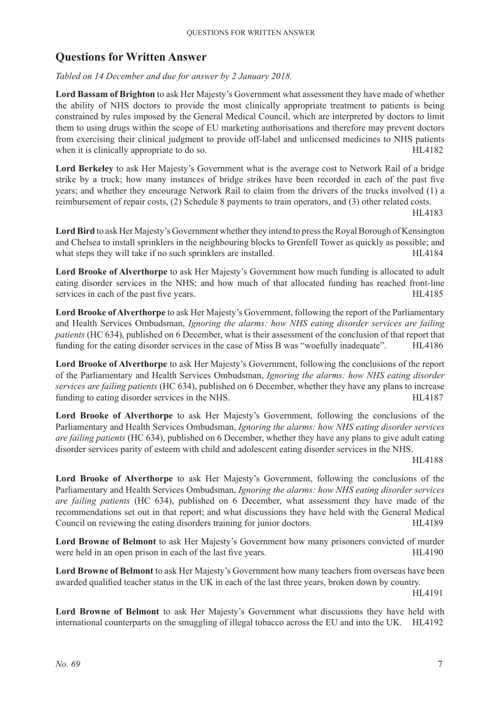# **Questions for Written Answer**

#### *Tabled on 14 December and due for answer by 2 January 2018.*

**Lord Bassam of Brighton** to ask Her Majesty's Government what assessment they have made of whether the ability of NHS doctors to provide the most clinically appropriate treatment to patients is being constrained by rules imposed by the General Medical Council, which are interpreted by doctors to limit them to using drugs within the scope of EU marketing authorisations and therefore may prevent doctors from exercising their clinical judgment to provide off-label and unlicensed medicines to NHS patients when it is clinically appropriate to do so. HL4182

**Lord Berkeley** to ask Her Majesty's Government what is the average cost to Network Rail of a bridge strike by a truck; how many instances of bridge strikes have been recorded in each of the past five years; and whether they encourage Network Rail to claim from the drivers of the trucks involved (1) a reimbursement of repair costs, (2) Schedule 8 payments to train operators, and (3) other related costs.

HL4183

**Lord Bird** to ask Her Majesty's Government whether they intend to press the Royal Borough of Kensington and Chelsea to install sprinklers in the neighbouring blocks to Grenfell Tower as quickly as possible; and what steps they will take if no such sprinklers are installed. HL4184

**Lord Brooke of Alverthorpe** to ask Her Majesty's Government how much funding is allocated to adult eating disorder services in the NHS; and how much of that allocated funding has reached front-line services in each of the past five years. HL4185

**Lord Brooke of Alverthorpe** to ask Her Majesty's Government, following the report of the Parliamentary and Health Services Ombudsman, *Ignoring the alarms: how NHS eating disorder services are failing patients* (HC 634), published on 6 December, what is their assessment of the conclusion of that report that funding for the eating disorder services in the case of Miss B was "woefully inadequate". HL4186

**Lord Brooke of Alverthorpe** to ask Her Majesty's Government, following the conclusions of the report of the Parliamentary and Health Services Ombudsman, *Ignoring the alarms: how NHS eating disorder services are failing patients* (HC 634), published on 6 December, whether they have any plans to increase funding to eating disorder services in the NHS. HL4187

**Lord Brooke of Alverthorpe** to ask Her Majesty's Government, following the conclusions of the Parliamentary and Health Services Ombudsman, *Ignoring the alarms: how NHS eating disorder services are failing patients* (HC 634), published on 6 December, whether they have any plans to give adult eating disorder services parity of esteem with child and adolescent eating disorder services in the NHS.

HL4188

**Lord Brooke of Alverthorpe** to ask Her Majesty's Government, following the conclusions of the Parliamentary and Health Services Ombudsman, *Ignoring the alarms: how NHS eating disorder services are failing patients* (HC 634), published on 6 December, what assessment they have made of the recommendations set out in that report; and what discussions they have held with the General Medical Council on reviewing the eating disorders training for junior doctors. HL4189

**Lord Browne of Belmont** to ask Her Majesty's Government how many prisoners convicted of murder were held in an open prison in each of the last five years. HL4190

**Lord Browne of Belmont** to ask Her Majesty's Government how many teachers from overseas have been awarded qualified teacher status in the UK in each of the last three years, broken down by country.

HL4191

**Lord Browne of Belmont** to ask Her Majesty's Government what discussions they have held with international counterparts on the smuggling of illegal tobacco across the EU and into the UK. HL4192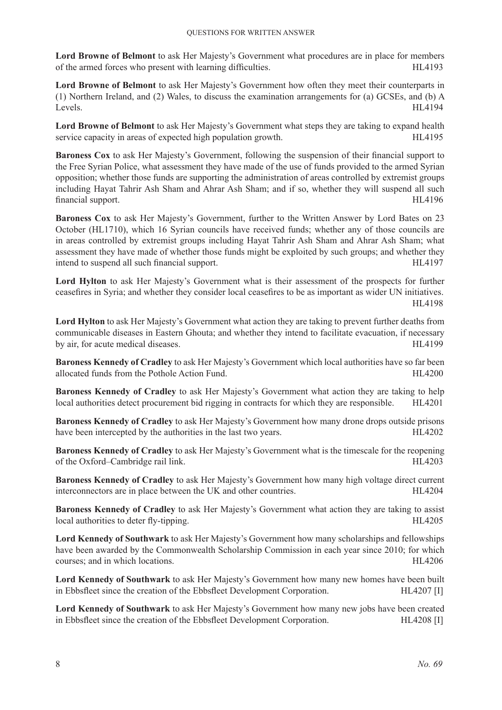**Lord Browne of Belmont** to ask Her Majesty's Government what procedures are in place for members of the armed forces who present with learning difficulties. HL4193

**Lord Browne of Belmont** to ask Her Majesty's Government how often they meet their counterparts in (1) Northern Ireland, and (2) Wales, to discuss the examination arrangements for (a) GCSEs, and (b) A Levels. HL4194

**Lord Browne of Belmont** to ask Her Majesty's Government what steps they are taking to expand health service capacity in areas of expected high population growth. HL4195

**Baroness Cox** to ask Her Majesty's Government, following the suspension of their financial support to the Free Syrian Police, what assessment they have made of the use of funds provided to the armed Syrian opposition; whether those funds are supporting the administration of areas controlled by extremist groups including Hayat Tahrir Ash Sham and Ahrar Ash Sham; and if so, whether they will suspend all such financial support. HL4196

**Baroness Cox** to ask Her Majesty's Government, further to the Written Answer by Lord Bates on 23 October (HL1710), which 16 Syrian councils have received funds; whether any of those councils are in areas controlled by extremist groups including Hayat Tahrir Ash Sham and Ahrar Ash Sham; what assessment they have made of whether those funds might be exploited by such groups; and whether they intend to suspend all such financial support. The summary support of the support of the support of the support of the support of the support of the support of the support of the support of the support of the support of the

Lord Hylton to ask Her Majesty's Government what is their assessment of the prospects for further ceasefires in Syria; and whether they consider local ceasefires to be as important as wider UN initiatives. HL4198

**Lord Hylton** to ask Her Majesty's Government what action they are taking to prevent further deaths from communicable diseases in Eastern Ghouta; and whether they intend to facilitate evacuation, if necessary by air, for acute medical diseases. HL4199

**Baroness Kennedy of Cradley** to ask Her Majesty's Government which local authorities have so far been allocated funds from the Pothole Action Fund. HL4200

**Baroness Kennedy of Cradley** to ask Her Majesty's Government what action they are taking to help local authorities detect procurement bid rigging in contracts for which they are responsible. HL4201

**Baroness Kennedy of Cradley** to ask Her Majesty's Government how many drone drops outside prisons have been intercepted by the authorities in the last two years. HL4202

**Baroness Kennedy of Cradley** to ask Her Majesty's Government what is the timescale for the reopening of the Oxford–Cambridge rail link. HL4203

**Baroness Kennedy of Cradley** to ask Her Majesty's Government how many high voltage direct current interconnectors are in place between the UK and other countries. HL4204

**Baroness Kennedy of Cradley** to ask Her Majesty's Government what action they are taking to assist local authorities to deter fly-tipping. HL4205

**Lord Kennedy of Southwark** to ask Her Majesty's Government how many scholarships and fellowships have been awarded by the Commonwealth Scholarship Commission in each year since 2010; for which courses; and in which locations. HL4206

**Lord Kennedy of Southwark** to ask Her Majesty's Government how many new homes have been built in Ebbsfleet since the creation of the Ebbsfleet Development Corporation. HL4207 [I]

**Lord Kennedy of Southwark** to ask Her Majesty's Government how many new jobs have been created in Ebbsfleet since the creation of the Ebbsfleet Development Corporation. HL4208 [I]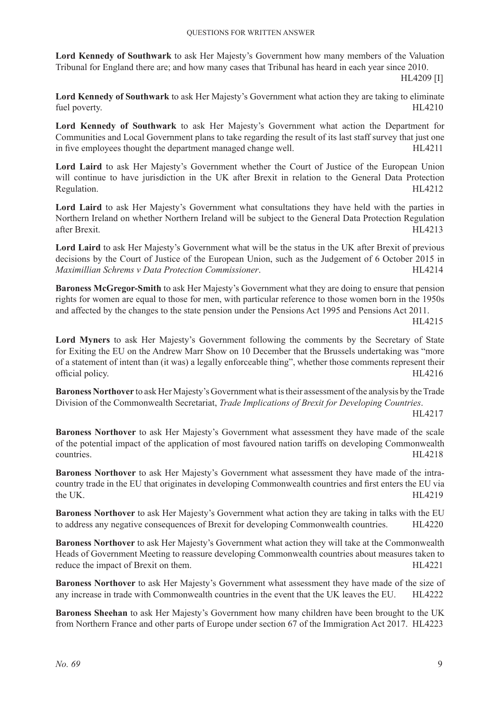**Lord Kennedy of Southwark** to ask Her Majesty's Government how many members of the Valuation Tribunal for England there are; and how many cases that Tribunal has heard in each year since 2010.

HL4209 [I]

**Lord Kennedy of Southwark** to ask Her Majesty's Government what action they are taking to eliminate fuel poverty. HL4210

**Lord Kennedy of Southwark** to ask Her Majesty's Government what action the Department for Communities and Local Government plans to take regarding the result of its last staff survey that just one in five employees thought the department managed change well. HL4211

**Lord Laird** to ask Her Majesty's Government whether the Court of Justice of the European Union will continue to have jurisdiction in the UK after Brexit in relation to the General Data Protection Regulation. HL4212

**Lord Laird** to ask Her Majesty's Government what consultations they have held with the parties in Northern Ireland on whether Northern Ireland will be subject to the General Data Protection Regulation after Brexit. HL4213

**Lord Laird** to ask Her Majesty's Government what will be the status in the UK after Brexit of previous decisions by the Court of Justice of the European Union, such as the Judgement of 6 October 2015 in *Maximillian Schrems v Data Protection Commissioner*. HL4214

**Baroness McGregor-Smith** to ask Her Majesty's Government what they are doing to ensure that pension rights for women are equal to those for men, with particular reference to those women born in the 1950s and affected by the changes to the state pension under the Pensions Act 1995 and Pensions Act 2011.

HL4215

**Lord Myners** to ask Her Majesty's Government following the comments by the Secretary of State for Exiting the EU on the Andrew Marr Show on 10 December that the Brussels undertaking was "more of a statement of intent than (it was) a legally enforceable thing", whether those comments represent their official policy. HL4216

**Baroness Northover** to ask Her Majesty's Government what is their assessment of the analysis by the Trade Division of the Commonwealth Secretariat, *Trade Implications of Brexit for Developing Countries*.

HL4217

**Baroness Northover** to ask Her Majesty's Government what assessment they have made of the scale of the potential impact of the application of most favoured nation tariffs on developing Commonwealth countries. HL4218

**Baroness Northover** to ask Her Majesty's Government what assessment they have made of the intracountry trade in the EU that originates in developing Commonwealth countries and first enters the EU via the UK. HL4219

**Baroness Northover** to ask Her Majesty's Government what action they are taking in talks with the EU to address any negative consequences of Brexit for developing Commonwealth countries. HL4220

**Baroness Northover** to ask Her Majesty's Government what action they will take at the Commonwealth Heads of Government Meeting to reassure developing Commonwealth countries about measures taken to reduce the impact of Brexit on them. HL4221

**Baroness Northover** to ask Her Majesty's Government what assessment they have made of the size of any increase in trade with Commonwealth countries in the event that the UK leaves the EU. HL4222

**Baroness Sheehan** to ask Her Majesty's Government how many children have been brought to the UK from Northern France and other parts of Europe under section 67 of the Immigration Act 2017. HL4223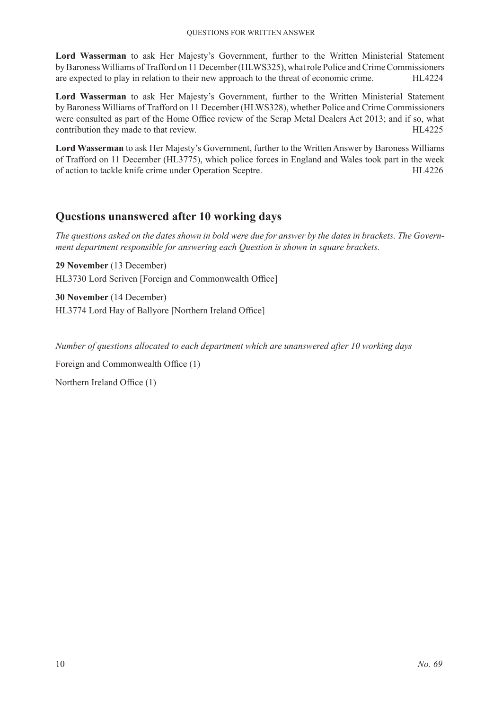**Lord Wasserman** to ask Her Majesty's Government, further to the Written Ministerial Statement byBaroness Williams of Trafford on 11 December (HLWS325), what role Police and Crime Commissioners are expected to play in relation to their new approach to the threat of economic crime. HL4224

**Lord Wasserman** to ask Her Majesty's Government, further to the Written Ministerial Statement by Baroness Williams of Trafford on 11 December (HLWS328), whether Police and Crime Commissioners were consulted as part of the Home Office review of the Scrap Metal Dealers Act 2013; and if so, what contribution they made to that review. HL4225

**Lord Wasserman** to ask Her Majesty's Government, further to the Written Answer by Baroness Williams of Trafford on 11 December (HL3775), which police forces in England and Wales took part in the week of action to tackle knife crime under Operation Sceptre. HL4226

# **Questions unanswered after 10 working days**

*The questions asked on the dates shown in bold were due for answer by the dates in brackets. The Government department responsible for answering each Question is shown in square brackets.*

**29 November** (13 December) HL3730 Lord Scriven [Foreign and Commonwealth Office]

**30 November** (14 December) HL3774 Lord Hay of Ballyore [Northern Ireland Office]

*Number of questions allocated to each department which are unanswered after 10 working days*

Foreign and Commonwealth Office (1)

Northern Ireland Office (1)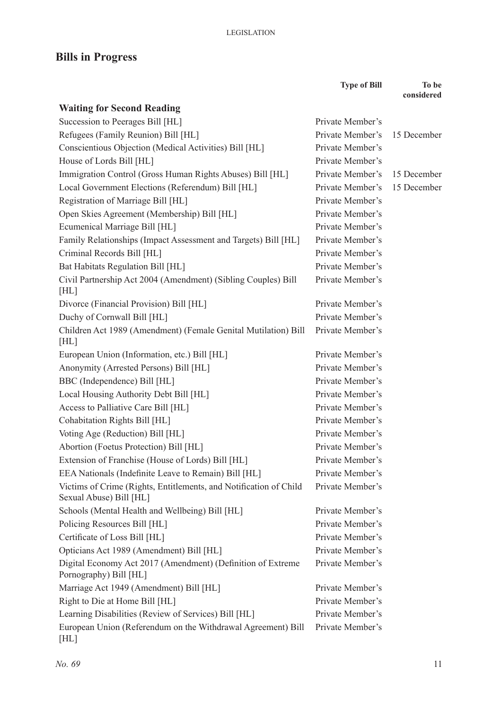# **Bills in Progress**

|                                                                                              | <b>Type of Bill</b> | To be<br>considered |
|----------------------------------------------------------------------------------------------|---------------------|---------------------|
| <b>Waiting for Second Reading</b>                                                            |                     |                     |
| Succession to Peerages Bill [HL]                                                             | Private Member's    |                     |
| Refugees (Family Reunion) Bill [HL]                                                          | Private Member's    | 15 December         |
| Conscientious Objection (Medical Activities) Bill [HL]                                       | Private Member's    |                     |
| House of Lords Bill [HL]                                                                     | Private Member's    |                     |
| Immigration Control (Gross Human Rights Abuses) Bill [HL]                                    | Private Member's    | 15 December         |
| Local Government Elections (Referendum) Bill [HL]                                            | Private Member's    | 15 December         |
| Registration of Marriage Bill [HL]                                                           | Private Member's    |                     |
| Open Skies Agreement (Membership) Bill [HL]                                                  | Private Member's    |                     |
| Ecumenical Marriage Bill [HL]                                                                | Private Member's    |                     |
| Family Relationships (Impact Assessment and Targets) Bill [HL]                               | Private Member's    |                     |
| Criminal Records Bill [HL]                                                                   | Private Member's    |                     |
| Bat Habitats Regulation Bill [HL]                                                            | Private Member's    |                     |
| Civil Partnership Act 2004 (Amendment) (Sibling Couples) Bill                                | Private Member's    |                     |
| [HL]                                                                                         |                     |                     |
| Divorce (Financial Provision) Bill [HL]                                                      | Private Member's    |                     |
| Duchy of Cornwall Bill [HL]                                                                  | Private Member's    |                     |
| Children Act 1989 (Amendment) (Female Genital Mutilation) Bill                               | Private Member's    |                     |
| [HL]                                                                                         |                     |                     |
| European Union (Information, etc.) Bill [HL]                                                 | Private Member's    |                     |
| Anonymity (Arrested Persons) Bill [HL]                                                       | Private Member's    |                     |
| BBC (Independence) Bill [HL]                                                                 | Private Member's    |                     |
| Local Housing Authority Debt Bill [HL]                                                       | Private Member's    |                     |
| Access to Palliative Care Bill [HL]                                                          | Private Member's    |                     |
| Cohabitation Rights Bill [HL]                                                                | Private Member's    |                     |
| Voting Age (Reduction) Bill [HL]                                                             | Private Member's    |                     |
| Abortion (Foetus Protection) Bill [HL]                                                       | Private Member's    |                     |
| Extension of Franchise (House of Lords) Bill [HL]                                            | Private Member's    |                     |
| EEA Nationals (Indefinite Leave to Remain) Bill [HL]                                         | Private Member's    |                     |
| Victims of Crime (Rights, Entitlements, and Notification of Child<br>Sexual Abuse) Bill [HL] | Private Member's    |                     |
| Schools (Mental Health and Wellbeing) Bill [HL]                                              | Private Member's    |                     |
| Policing Resources Bill [HL]                                                                 | Private Member's    |                     |
| Certificate of Loss Bill [HL]                                                                | Private Member's    |                     |
| Opticians Act 1989 (Amendment) Bill [HL]                                                     | Private Member's    |                     |
| Digital Economy Act 2017 (Amendment) (Definition of Extreme<br>Pornography) Bill [HL]        | Private Member's    |                     |
| Marriage Act 1949 (Amendment) Bill [HL]                                                      | Private Member's    |                     |
| Right to Die at Home Bill [HL]                                                               | Private Member's    |                     |
| Learning Disabilities (Review of Services) Bill [HL]                                         | Private Member's    |                     |
| European Union (Referendum on the Withdrawal Agreement) Bill<br>[HL]                         | Private Member's    |                     |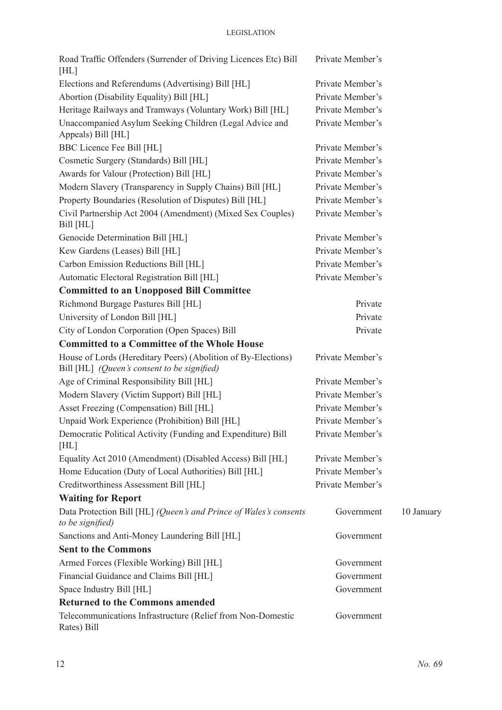| Road Traffic Offenders (Surrender of Driving Licences Etc) Bill<br>[HL]                                      | Private Member's |            |
|--------------------------------------------------------------------------------------------------------------|------------------|------------|
| Elections and Referendums (Advertising) Bill [HL]                                                            | Private Member's |            |
| Abortion (Disability Equality) Bill [HL]                                                                     | Private Member's |            |
| Heritage Railways and Tramways (Voluntary Work) Bill [HL]                                                    | Private Member's |            |
| Unaccompanied Asylum Seeking Children (Legal Advice and<br>Appeals) Bill [HL]                                | Private Member's |            |
| BBC Licence Fee Bill [HL]                                                                                    | Private Member's |            |
| Cosmetic Surgery (Standards) Bill [HL]                                                                       | Private Member's |            |
| Awards for Valour (Protection) Bill [HL]                                                                     | Private Member's |            |
| Modern Slavery (Transparency in Supply Chains) Bill [HL]                                                     | Private Member's |            |
| Property Boundaries (Resolution of Disputes) Bill [HL]                                                       | Private Member's |            |
| Civil Partnership Act 2004 (Amendment) (Mixed Sex Couples)<br>Bill [HL]                                      | Private Member's |            |
| Genocide Determination Bill [HL]                                                                             | Private Member's |            |
| Kew Gardens (Leases) Bill [HL]                                                                               | Private Member's |            |
| Carbon Emission Reductions Bill [HL]                                                                         | Private Member's |            |
| Automatic Electoral Registration Bill [HL]                                                                   | Private Member's |            |
| <b>Committed to an Unopposed Bill Committee</b>                                                              |                  |            |
| Richmond Burgage Pastures Bill [HL]                                                                          | Private          |            |
| University of London Bill [HL]                                                                               | Private          |            |
| City of London Corporation (Open Spaces) Bill                                                                | Private          |            |
| <b>Committed to a Committee of the Whole House</b>                                                           |                  |            |
| House of Lords (Hereditary Peers) (Abolition of By-Elections)<br>Bill [HL] (Queen's consent to be signified) | Private Member's |            |
| Age of Criminal Responsibility Bill [HL]                                                                     | Private Member's |            |
| Modern Slavery (Victim Support) Bill [HL]                                                                    | Private Member's |            |
| Asset Freezing (Compensation) Bill [HL]                                                                      | Private Member's |            |
| Unpaid Work Experience (Prohibition) Bill [HL]                                                               | Private Member's |            |
| Democratic Political Activity (Funding and Expenditure) Bill<br>[HL]                                         | Private Member's |            |
| Equality Act 2010 (Amendment) (Disabled Access) Bill [HL]                                                    | Private Member's |            |
| Home Education (Duty of Local Authorities) Bill [HL]                                                         | Private Member's |            |
| Creditworthiness Assessment Bill [HL]                                                                        | Private Member's |            |
| <b>Waiting for Report</b>                                                                                    |                  |            |
| Data Protection Bill [HL] (Queen's and Prince of Wales's consents<br>to be signified)                        | Government       | 10 January |
| Sanctions and Anti-Money Laundering Bill [HL]                                                                | Government       |            |
| <b>Sent to the Commons</b>                                                                                   |                  |            |
| Armed Forces (Flexible Working) Bill [HL]                                                                    | Government       |            |
| Financial Guidance and Claims Bill [HL]                                                                      | Government       |            |
| Space Industry Bill [HL]                                                                                     | Government       |            |
| <b>Returned to the Commons amended</b>                                                                       |                  |            |
| Telecommunications Infrastructure (Relief from Non-Domestic<br>Rates) Bill                                   | Government       |            |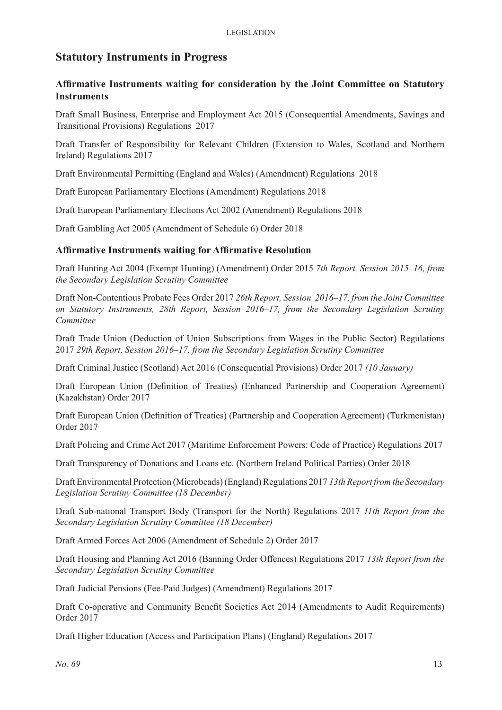# **Statutory Instruments in Progress**

#### **Affirmative Instruments waiting for consideration by the Joint Committee on Statutory Instruments**

Draft Small Business, Enterprise and Employment Act 2015 (Consequential Amendments, Savings and Transitional Provisions) Regulations 2017

Draft Transfer of Responsibility for Relevant Children (Extension to Wales, Scotland and Northern Ireland) Regulations 2017

Draft Environmental Permitting (England and Wales) (Amendment) Regulations 2018

Draft European Parliamentary Elections (Amendment) Regulations 2018

Draft European Parliamentary Elections Act 2002 (Amendment) Regulations 2018

Draft Gambling Act 2005 (Amendment of Schedule 6) Order 2018

#### **Affirmative Instruments waiting for Affirmative Resolution**

Draft Hunting Act 2004 (Exempt Hunting) (Amendment) Order 2015 *7th Report, Session 2015–16, from the Secondary Legislation Scrutiny Committee*

Draft Non-Contentious Probate Fees Order 2017 *26th Report, Session 2016–17, from the Joint Committee on Statutory Instruments, 28th Report, Session 2016–17, from the Secondary Legislation Scrutiny Committee*

Draft Trade Union (Deduction of Union Subscriptions from Wages in the Public Sector) Regulations 2017 *29th Report, Session 2016–17, from the Secondary Legislation Scrutiny Committee*

Draft Criminal Justice (Scotland) Act 2016 (Consequential Provisions) Order 2017 *(10 January)*

Draft European Union (Definition of Treaties) (Enhanced Partnership and Cooperation Agreement) (Kazakhstan) Order 2017

Draft European Union (Definition of Treaties) (Partnership and Cooperation Agreement) (Turkmenistan) Order 2017

Draft Policing and Crime Act 2017 (Maritime Enforcement Powers: Code of Practice) Regulations 2017

Draft Transparency of Donations and Loans etc. (Northern Ireland Political Parties) Order 2018

Draft Environmental Protection (Microbeads) (England) Regulations 2017 *13th Report from the Secondary Legislation Scrutiny Committee (18 December)*

Draft Sub-national Transport Body (Transport for the North) Regulations 2017 *11th Report from the Secondary Legislation Scrutiny Committee (18 December)*

Draft Armed Forces Act 2006 (Amendment of Schedule 2) Order 2017

Draft Housing and Planning Act 2016 (Banning Order Offences) Regulations 2017 *13th Report from the Secondary Legislation Scrutiny Committee*

Draft Judicial Pensions (Fee-Paid Judges) (Amendment) Regulations 2017

Draft Co-operative and Community Benefit Societies Act 2014 (Amendments to Audit Requirements) Order 2017

Draft Higher Education (Access and Participation Plans) (England) Regulations 2017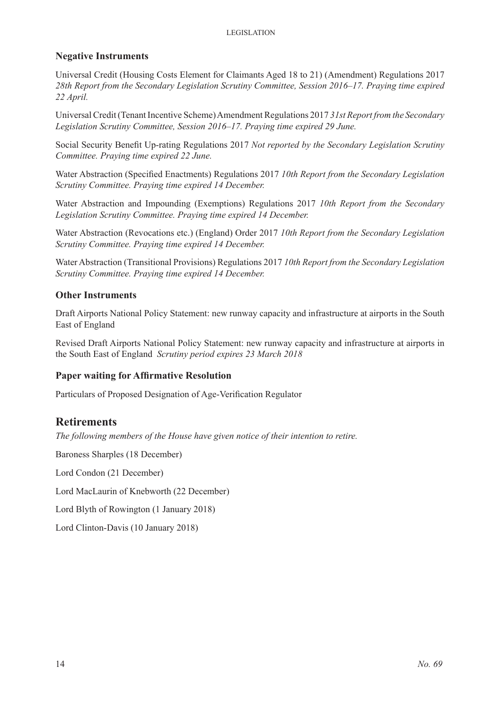#### **Negative Instruments**

Universal Credit (Housing Costs Element for Claimants Aged 18 to 21) (Amendment) Regulations 2017 *28th Report from the Secondary Legislation Scrutiny Committee, Session 2016–17. Praying time expired 22 April.* 

Universal Credit (Tenant Incentive Scheme) Amendment Regulations 2017 *31st Report from the Secondary Legislation Scrutiny Committee, Session 2016–17. Praying time expired 29 June.* 

Social Security Benefit Up-rating Regulations 2017 *Not reported by the Secondary Legislation Scrutiny Committee. Praying time expired 22 June.*

Water Abstraction (Specified Enactments) Regulations 2017 *10th Report from the Secondary Legislation Scrutiny Committee. Praying time expired 14 December.* 

Water Abstraction and Impounding (Exemptions) Regulations 2017 *10th Report from the Secondary Legislation Scrutiny Committee. Praying time expired 14 December.* 

Water Abstraction (Revocations etc.) (England) Order 2017 *10th Report from the Secondary Legislation Scrutiny Committee. Praying time expired 14 December.* 

Water Abstraction (Transitional Provisions) Regulations 2017 *10th Report from the Secondary Legislation Scrutiny Committee. Praying time expired 14 December.* 

#### **Other Instruments**

Draft Airports National Policy Statement: new runway capacity and infrastructure at airports in the South East of England

Revised Draft Airports National Policy Statement: new runway capacity and infrastructure at airports in the South East of England *Scrutiny period expires 23 March 2018*

#### **Paper waiting for Affirmative Resolution**

Particulars of Proposed Designation of Age-Verification Regulator

# **Retirements**

*The following members of the House have given notice of their intention to retire.*

Baroness Sharples (18 December)

Lord Condon (21 December)

Lord MacLaurin of Knebworth (22 December)

Lord Blyth of Rowington (1 January 2018)

Lord Clinton-Davis (10 January 2018)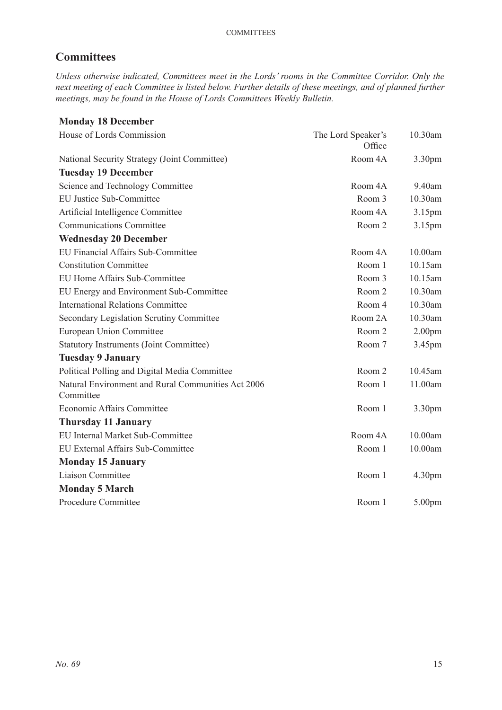# **Committees**

*Unless otherwise indicated, Committees meet in the Lords' rooms in the Committee Corridor. Only the next meeting of each Committee is listed below. Further details of these meetings, and of planned further meetings, may be found in the House of Lords Committees Weekly Bulletin.*

# **Monday 18 December** House of Lords Commission The Lord Speaker's **Office** 10.30am National Security Strategy (Joint Committee) Room 4A 3.30pm **Tuesday 19 December** Science and Technology Committee Room 4A 9.40am EU Justice Sub-Committee Room 3 10.30am Artificial Intelligence Committee Room 4A 3.15pm Communications Committee Room 2 3.15pm **Wednesday 20 December** EU Financial Affairs Sub-Committee Room 4A 10.00am Constitution Committee Room 1 10.15am EU Home Affairs Sub-Committee Room 3 10.15am EU Energy and Environment Sub-Committee Room 2 10.30am International Relations Committee Room 4 10.30am Secondary Legislation Scrutiny Committee Room 2A 10.30am European Union Committee Room 2 2.00pm Statutory Instruments (Joint Committee) Room 7 3.45pm **Tuesday 9 January** Political Polling and Digital Media Committee Room 2 10.45am Natural Environment and Rural Communities Act 2006 Committee Room 1 11.00am Economic Affairs Committee Room 1 3.30pm **Thursday 11 January** EU Internal Market Sub-Committee Room 4A 10.00am EU External Affairs Sub-Committee Room 1 10.00am **Monday 15 January** Liaison Committee Room 1 4.30pm **Monday 5 March** Procedure Committee Room 1 5.00pm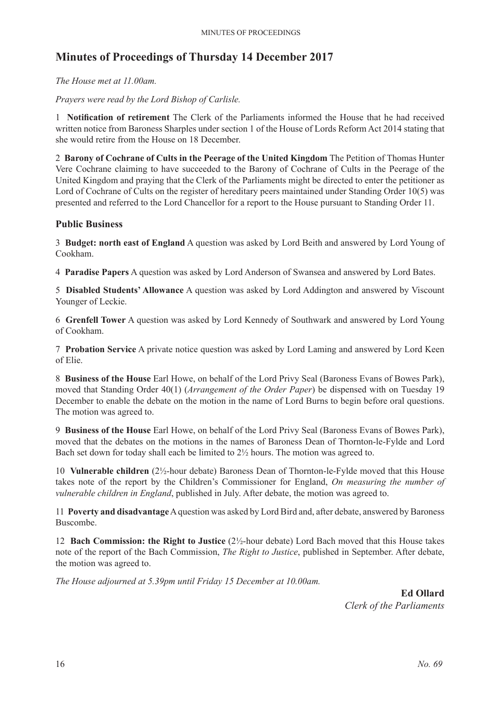# **Minutes of Proceedings of Thursday 14 December 2017**

*The House met at 11.00am.*

*Prayers were read by the Lord Bishop of Carlisle.*

1 **Notification of retirement** The Clerk of the Parliaments informed the House that he had received written notice from Baroness Sharples under section 1 of the House of Lords Reform Act 2014 stating that she would retire from the House on 18 December.

2 **Barony of Cochrane of Cults in the Peerage of the United Kingdom** The Petition of Thomas Hunter Vere Cochrane claiming to have succeeded to the Barony of Cochrane of Cults in the Peerage of the United Kingdom and praying that the Clerk of the Parliaments might be directed to enter the petitioner as Lord of Cochrane of Cults on the register of hereditary peers maintained under Standing Order 10(5) was presented and referred to the Lord Chancellor for a report to the House pursuant to Standing Order 11.

#### **Public Business**

3 **Budget: north east of England** A question was asked by Lord Beith and answered by Lord Young of Cookham.

4 **Paradise Papers** A question was asked by Lord Anderson of Swansea and answered by Lord Bates.

5 **Disabled Students' Allowance** A question was asked by Lord Addington and answered by Viscount Younger of Leckie.

6 **Grenfell Tower** A question was asked by Lord Kennedy of Southwark and answered by Lord Young of Cookham.

7 **Probation Service** A private notice question was asked by Lord Laming and answered by Lord Keen of Elie.

8 **Business of the House** Earl Howe, on behalf of the Lord Privy Seal (Baroness Evans of Bowes Park), moved that Standing Order 40(1) (*Arrangement of the Order Paper*) be dispensed with on Tuesday 19 December to enable the debate on the motion in the name of Lord Burns to begin before oral questions. The motion was agreed to.

9 **Business of the House** Earl Howe, on behalf of the Lord Privy Seal (Baroness Evans of Bowes Park), moved that the debates on the motions in the names of Baroness Dean of Thornton-le-Fylde and Lord Bach set down for today shall each be limited to  $2\frac{1}{2}$  hours. The motion was agreed to.

10 **Vulnerable children** (2½-hour debate) Baroness Dean of Thornton-le-Fylde moved that this House takes note of the report by the Children's Commissioner for England, *On measuring the number of vulnerable children in England*, published in July. After debate, the motion was agreed to.

11 **Poverty and disadvantage** A question was asked by Lord Bird and, after debate, answered by Baroness Buscombe.

12 **Bach Commission: the Right to Justice** (2½-hour debate) Lord Bach moved that this House takes note of the report of the Bach Commission, *The Right to Justice*, published in September. After debate, the motion was agreed to.

*The House adjourned at 5.39pm until Friday 15 December at 10.00am.*

**Ed Ollard** *Clerk of the Parliaments*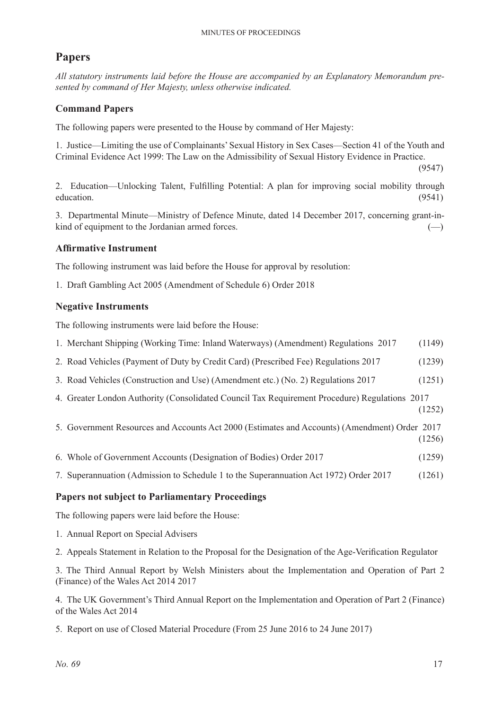# **Papers**

*All statutory instruments laid before the House are accompanied by an Explanatory Memorandum presented by command of Her Majesty, unless otherwise indicated.*

#### **Command Papers**

The following papers were presented to the House by command of Her Majesty:

1. Justice—Limiting the use of Complainants' Sexual History in Sex Cases—Section 41 of the Youth and Criminal Evidence Act 1999: The Law on the Admissibility of Sexual History Evidence in Practice.

(9547)

2. Education—Unlocking Talent, Fulfilling Potential: A plan for improving social mobility through education. (9541)

3. Departmental Minute—Ministry of Defence Minute, dated 14 December 2017, concerning grant-inkind of equipment to the Jordanian armed forces.  $(-)$ 

#### **Affirmative Instrument**

The following instrument was laid before the House for approval by resolution:

1. Draft Gambling Act 2005 (Amendment of Schedule 6) Order 2018

#### **Negative Instruments**

The following instruments were laid before the House:

- 1. Merchant Shipping (Working Time: Inland Waterways) (Amendment) Regulations 2017 (1149)
- 2. Road Vehicles (Payment of Duty by Credit Card) (Prescribed Fee) Regulations 2017 (1239)
- 3. Road Vehicles (Construction and Use) (Amendment etc.) (No. 2) Regulations 2017 (1251)
- 4. Greater London Authority (Consolidated Council Tax Requirement Procedure) Regulations 2017 (1252)
- 5. Government Resources and Accounts Act 2000 (Estimates and Accounts) (Amendment) Order 2017 (1256)
- 6. Whole of Government Accounts (Designation of Bodies) Order 2017 (1259)
- 7. Superannuation (Admission to Schedule 1 to the Superannuation Act 1972) Order 2017 (1261)

#### **Papers not subject to Parliamentary Proceedings**

The following papers were laid before the House:

- 1. Annual Report on Special Advisers
- 2. Appeals Statement in Relation to the Proposal for the Designation of the Age-Verification Regulator

3. The Third Annual Report by Welsh Ministers about the Implementation and Operation of Part 2 (Finance) of the Wales Act 2014 2017

4. The UK Government's Third Annual Report on the Implementation and Operation of Part 2 (Finance) of the Wales Act 2014

5. Report on use of Closed Material Procedure (From 25 June 2016 to 24 June 2017)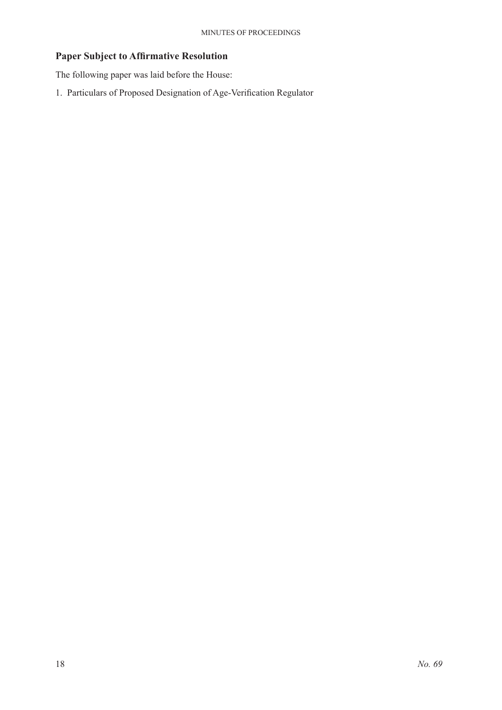# **Paper Subject to Affirmative Resolution**

The following paper was laid before the House:

1. Particulars of Proposed Designation of Age-Verification Regulator